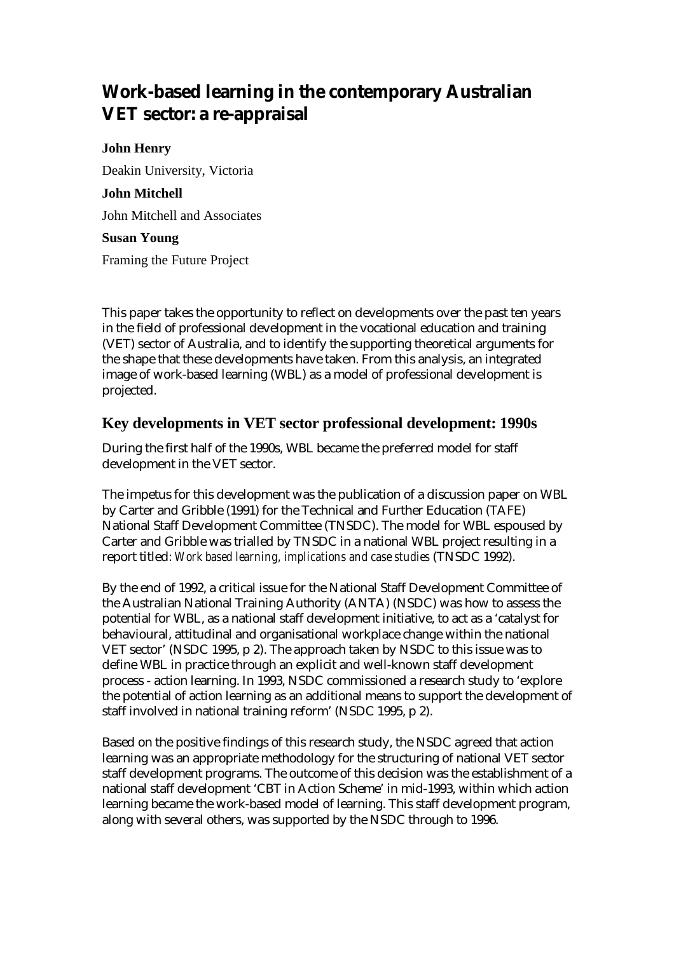# **Work-based learning in the contemporary Australian VET sector: a re-appraisal**

#### **John Henry**

Deakin University, Victoria

#### **John Mitchell**

John Mitchell and Associates

#### **Susan Young**

Framing the Future Project

This paper takes the opportunity to reflect on developments over the past ten years in the field of professional development in the vocational education and training (VET) sector of Australia, and to identify the supporting theoretical arguments for the shape that these developments have taken. From this analysis, an integrated image of work-based learning (WBL) as a model of professional development is projected.

### **Key developments in VET sector professional development: 1990s**

During the first half of the 1990s, WBL became the preferred model for staff development in the VET sector.

The impetus for this development was the publication of a discussion paper on WBL by Carter and Gribble (1991) for the Technical and Further Education (TAFE) National Staff Development Committee (TNSDC). The model for WBL espoused by Carter and Gribble was trialled by TNSDC in a national WBL project resulting in a report titled: *Work based learning, implications and case studies* (TNSDC 1992).

By the end of 1992, a critical issue for the National Staff Development Committee of the Australian National Training Authority (ANTA) (NSDC) was how to assess the potential for WBL, as a national staff development initiative, to act as a 'catalyst for behavioural, attitudinal and organisational workplace change within the national VET sector' (NSDC 1995, p 2). The approach taken by NSDC to this issue was to define WBL in practice through an explicit and well-known staff development process - action learning. In 1993, NSDC commissioned a research study to 'explore the potential of action learning as an additional means to support the development of staff involved in national training reform' (NSDC 1995, p 2).

Based on the positive findings of this research study, the NSDC agreed that action learning was an appropriate methodology for the structuring of national VET sector staff development programs. The outcome of this decision was the establishment of a national staff development 'CBT in Action Scheme' in mid-1993, within which action learning became the work-based model of learning. This staff development program, along with several others, was supported by the NSDC through to 1996.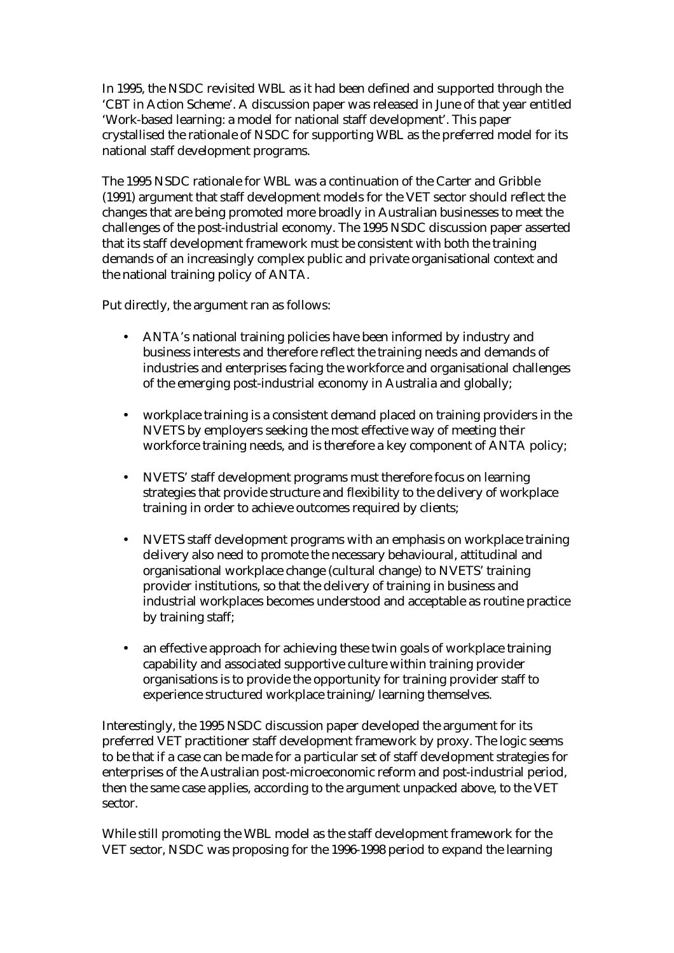In 1995, the NSDC revisited WBL as it had been defined and supported through the 'CBT in Action Scheme'. A discussion paper was released in June of that year entitled 'Work-based learning: a model for national staff development'. This paper crystallised the rationale of NSDC for supporting WBL as the preferred model for its national staff development programs.

The 1995 NSDC rationale for WBL was a continuation of the Carter and Gribble (1991) argument that staff development models for the VET sector should reflect the changes that are being promoted more broadly in Australian businesses to meet the challenges of the post-industrial economy. The 1995 NSDC discussion paper asserted that its staff development framework must be consistent with both the training demands of an increasingly complex public and private organisational context and the national training policy of ANTA.

Put directly, the argument ran as follows:

- ANTA's national training policies have been informed by industry and business interests and therefore reflect the training needs and demands of industries and enterprises facing the workforce and organisational challenges of the emerging post-industrial economy in Australia and globally;
- workplace training is a consistent demand placed on training providers in the NVETS by employers seeking the most effective way of meeting their workforce training needs, and is therefore a key component of ANTA policy;
- NVETS' staff development programs must therefore focus on learning strategies that provide structure and flexibility to the delivery of workplace training in order to achieve outcomes required by clients;
- NVETS staff development programs with an emphasis on workplace training delivery also need to promote the necessary behavioural, attitudinal and organisational workplace change (cultural change) to NVETS' training provider institutions, so that the delivery of training in business and industrial workplaces becomes understood and acceptable as routine practice by training staff;
- an effective approach for achieving these twin goals of workplace training capability and associated supportive culture within training provider organisations is to provide the opportunity for training provider staff to experience structured workplace training/learning themselves.

Interestingly, the 1995 NSDC discussion paper developed the argument for its preferred VET practitioner staff development framework by proxy. The logic seems to be that if a case can be made for a particular set of staff development strategies for enterprises of the Australian post-microeconomic reform and post-industrial period, then the same case applies, according to the argument unpacked above, to the VET sector.

While still promoting the WBL model as the staff development framework for the VET sector, NSDC was proposing for the 1996-1998 period to expand the learning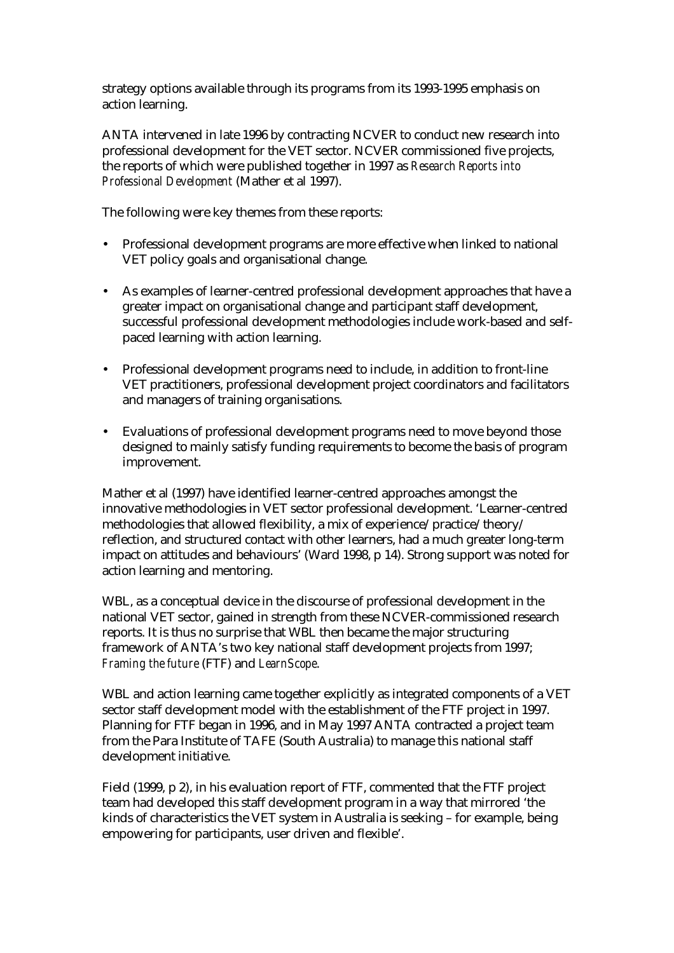strategy options available through its programs from its 1993-1995 emphasis on action learning.

ANTA intervened in late 1996 by contracting NCVER to conduct new research into professional development for the VET sector. NCVER commissioned five projects, the reports of which were published together in 1997 as *Research Reports into Professional Development* (Mather et al 1997).

The following were key themes from these reports:

- Professional development programs are more effective when linked to national VET policy goals and organisational change.
- As examples of learner-centred professional development approaches that have a greater impact on organisational change and participant staff development, successful professional development methodologies include work-based and selfpaced learning with action learning.
- Professional development programs need to include, in addition to front-line VET practitioners, professional development project coordinators and facilitators and managers of training organisations.
- Evaluations of professional development programs need to move beyond those designed to mainly satisfy funding requirements to become the basis of program improvement.

Mather et al (1997) have identified learner-centred approaches amongst the innovative methodologies in VET sector professional development. 'Learner-centred methodologies that allowed flexibility, a mix of experience/practice/theory/ reflection, and structured contact with other learners, had a much greater long-term impact on attitudes and behaviours' (Ward 1998, p 14). Strong support was noted for action learning and mentoring.

WBL, as a conceptual device in the discourse of professional development in the national VET sector, gained in strength from these NCVER-commissioned research reports. It is thus no surprise that WBL then became the major structuring framework of ANTA's two key national staff development projects from 1997; *Framing the future* (FTF) and *LearnScope*.

WBL and action learning came together explicitly as integrated components of a VET sector staff development model with the establishment of the FTF project in 1997. Planning for FTF began in 1996, and in May 1997 ANTA contracted a project team from the Para Institute of TAFE (South Australia) to manage this national staff development initiative.

Field (1999, p 2), in his evaluation report of FTF, commented that the FTF project team had developed this staff development program in a way that mirrored 'the kinds of characteristics the VET system in Australia is seeking – for example, being empowering for participants, user driven and flexible'.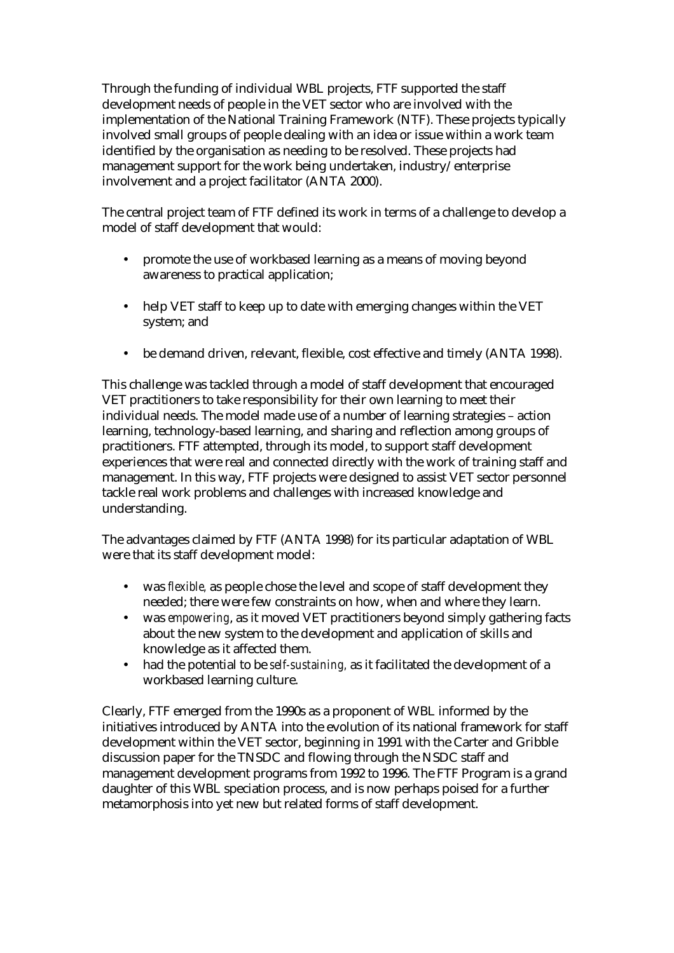Through the funding of individual WBL projects, FTF supported the staff development needs of people in the VET sector who are involved with the implementation of the National Training Framework (NTF). These projects typically involved small groups of people dealing with an idea or issue within a work team identified by the organisation as needing to be resolved. These projects had management support for the work being undertaken, industry/enterprise involvement and a project facilitator (ANTA 2000).

The central project team of FTF defined its work in terms of a challenge to develop a model of staff development that would:

- promote the use of workbased learning as a means of moving beyond awareness to practical application;
- help VET staff to keep up to date with emerging changes within the VET system; and
- be demand driven, relevant, flexible, cost effective and timely (ANTA 1998).

This challenge was tackled through a model of staff development that encouraged VET practitioners to take responsibility for their own learning to meet their individual needs. The model made use of a number of learning strategies – action learning, technology-based learning, and sharing and reflection among groups of practitioners. FTF attempted, through its model, to support staff development experiences that were real and connected directly with the work of training staff and management. In this way, FTF projects were designed to assist VET sector personnel tackle real work problems and challenges with increased knowledge and understanding.

The advantages claimed by FTF (ANTA 1998) for its particular adaptation of WBL were that its staff development model:

- was *flexible,* as people chose the level and scope of staff development they needed; there were few constraints on how, when and where they learn.
- was *empowering*, as it moved VET practitioners beyond simply gathering facts about the new system to the development and application of skills and knowledge as it affected them.
- had the potential to be *self-sustaining,* as it facilitated the development of a workbased learning culture.

Clearly, FTF emerged from the 1990s as a proponent of WBL informed by the initiatives introduced by ANTA into the evolution of its national framework for staff development within the VET sector, beginning in 1991 with the Carter and Gribble discussion paper for the TNSDC and flowing through the NSDC staff and management development programs from 1992 to 1996. The FTF Program is a grand daughter of this WBL speciation process, and is now perhaps poised for a further metamorphosis into yet new but related forms of staff development.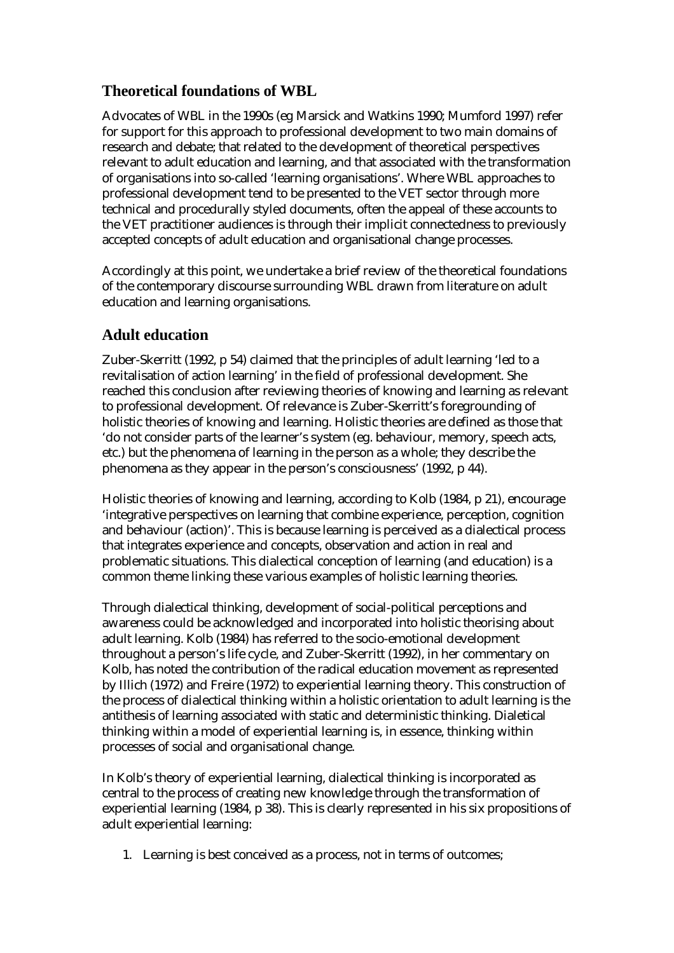## **Theoretical foundations of WBL**

Advocates of WBL in the 1990s (eg Marsick and Watkins 1990; Mumford 1997) refer for support for this approach to professional development to two main domains of research and debate; that related to the development of theoretical perspectives relevant to adult education and learning, and that associated with the transformation of organisations into so-called 'learning organisations'. Where WBL approaches to professional development tend to be presented to the VET sector through more technical and procedurally styled documents, often the appeal of these accounts to the VET practitioner audiences is through their implicit connectedness to previously accepted concepts of adult education and organisational change processes.

Accordingly at this point, we undertake a brief review of the theoretical foundations of the contemporary discourse surrounding WBL drawn from literature on adult education and learning organisations.

### **Adult education**

Zuber-Skerritt (1992, p 54) claimed that the principles of adult learning 'led to a revitalisation of action learning' in the field of professional development. She reached this conclusion after reviewing theories of knowing and learning as relevant to professional development. Of relevance is Zuber-Skerritt's foregrounding of holistic theories of knowing and learning. Holistic theories are defined as those that 'do not consider parts of the learner's system (eg. behaviour, memory, speech acts, etc.) but the phenomena of learning in the person as a whole; they describe the phenomena as they appear in the person's consciousness' (1992, p 44).

Holistic theories of knowing and learning, according to Kolb (1984, p 21), encourage 'integrative perspectives on learning that combine experience, perception, cognition and behaviour (action)'. This is because learning is perceived as a dialectical process that integrates experience and concepts, observation and action in real and problematic situations. This dialectical conception of learning (and education) is a common theme linking these various examples of holistic learning theories.

Through dialectical thinking, development of social-political perceptions and awareness could be acknowledged and incorporated into holistic theorising about adult learning. Kolb (1984) has referred to the socio-emotional development throughout a person's life cycle, and Zuber-Skerritt (1992), in her commentary on Kolb, has noted the contribution of the radical education movement as represented by Illich (1972) and Freire (1972) to experiential learning theory. This construction of the process of dialectical thinking within a holistic orientation to adult learning is the antithesis of learning associated with static and deterministic thinking. Dialetical thinking within a model of experiential learning is, in essence, thinking within processes of social and organisational change.

In Kolb's theory of experiential learning, dialectical thinking is incorporated as central to the process of creating new knowledge through the transformation of experiential learning (1984, p 38). This is clearly represented in his six propositions of adult experiential learning:

1. Learning is best conceived as a process, not in terms of outcomes;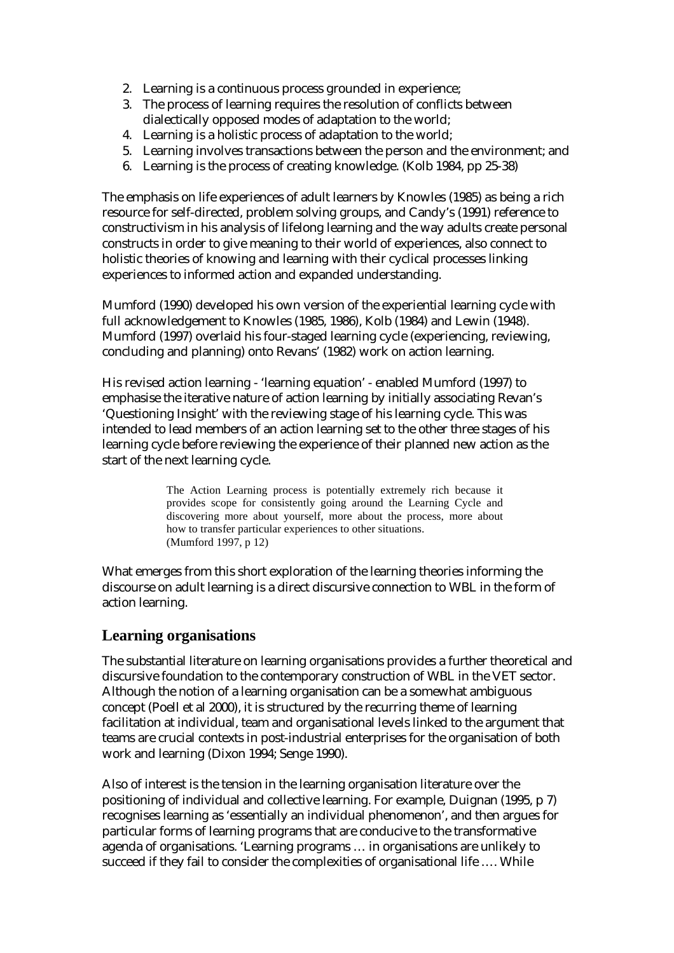- 2. Learning is a continuous process grounded in experience;
- 3. The process of learning requires the resolution of conflicts between dialectically opposed modes of adaptation to the world;
- 4. Learning is a holistic process of adaptation to the world;
- 5. Learning involves transactions between the person and the environment; and
- 6. Learning is the process of creating knowledge. (Kolb 1984, pp 25-38)

The emphasis on life experiences of adult learners by Knowles (1985) as being a rich resource for self-directed, problem solving groups, and Candy's (1991) reference to constructivism in his analysis of lifelong learning and the way adults create personal constructs in order to give meaning to their world of experiences, also connect to holistic theories of knowing and learning with their cyclical processes linking experiences to informed action and expanded understanding.

Mumford (1990) developed his own version of the experiential learning cycle with full acknowledgement to Knowles (1985, 1986), Kolb (1984) and Lewin (1948). Mumford (1997) overlaid his four-staged learning cycle (experiencing, reviewing, concluding and planning) onto Revans' (1982) work on action learning.

His revised action learning - 'learning equation' - enabled Mumford (1997) to emphasise the iterative nature of action learning by initially associating Revan's 'Questioning Insight' with the reviewing stage of his learning cycle. This was intended to lead members of an action learning set to the other three stages of his learning cycle before reviewing the experience of their planned new action as the start of the next learning cycle.

> The Action Learning process is potentially extremely rich because it provides scope for consistently going around the Learning Cycle and discovering more about yourself, more about the process, more about how to transfer particular experiences to other situations. (Mumford 1997, p 12)

What emerges from this short exploration of the learning theories informing the discourse on adult learning is a direct discursive connection to WBL in the form of action learning.

#### **Learning organisations**

The substantial literature on learning organisations provides a further theoretical and discursive foundation to the contemporary construction of WBL in the VET sector. Although the notion of a learning organisation can be a somewhat ambiguous concept (Poell et al 2000), it is structured by the recurring theme of learning facilitation at individual, team and organisational levels linked to the argument that teams are crucial contexts in post-industrial enterprises for the organisation of both work and learning (Dixon 1994; Senge 1990).

Also of interest is the tension in the learning organisation literature over the positioning of individual and collective learning. For example, Duignan (1995, p 7) recognises learning as 'essentially an individual phenomenon', and then argues for particular forms of learning programs that are conducive to the transformative agenda of organisations. 'Learning programs … in organisations are unlikely to succeed if they fail to consider the complexities of organisational life …. While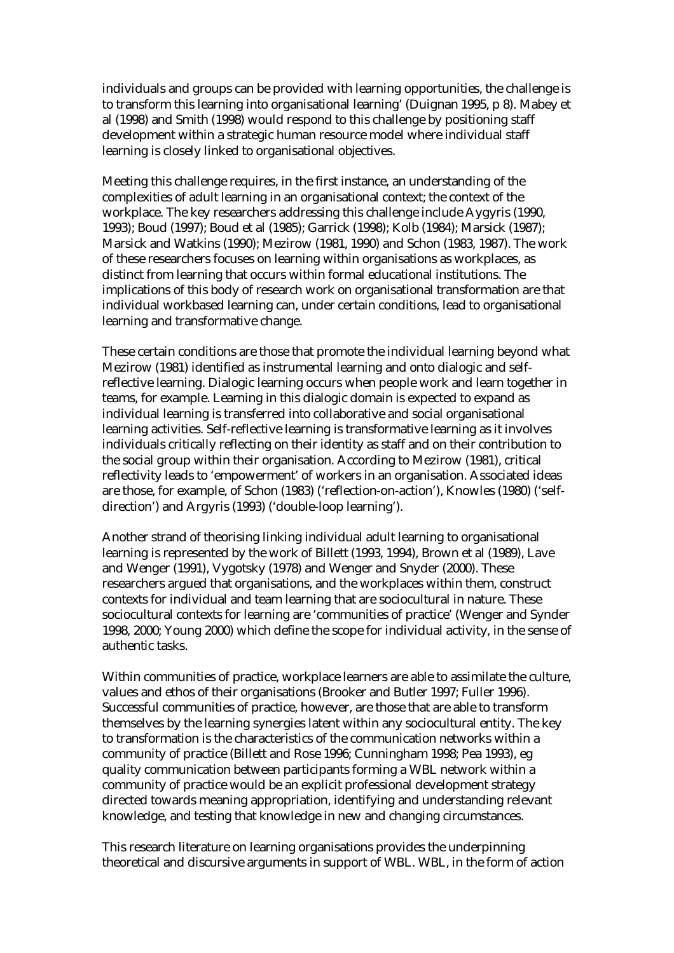individuals and groups can be provided with learning opportunities, the challenge is to transform this learning into organisational learning' (Duignan 1995, p 8). Mabey et al (1998) and Smith (1998) would respond to this challenge by positioning staff development within a strategic human resource model where individual staff learning is closely linked to organisational objectives.

Meeting this challenge requires, in the first instance, an understanding of the complexities of adult learning in an organisational context; the context of the workplace. The key researchers addressing this challenge include Aygyris (1990, 1993); Boud (1997); Boud et al (1985); Garrick (1998); Kolb (1984); Marsick (1987); Marsick and Watkins (1990); Mezirow (1981, 1990) and Schon (1983, 1987). The work of these researchers focuses on learning within organisations as workplaces, as distinct from learning that occurs within formal educational institutions. The implications of this body of research work on organisational transformation are that individual workbased learning can, under certain conditions, lead to organisational learning and transformative change.

These certain conditions are those that promote the individual learning beyond what Mezirow (1981) identified as instrumental learning and onto dialogic and selfreflective learning. Dialogic learning occurs when people work and learn together in teams, for example. Learning in this dialogic domain is expected to expand as individual learning is transferred into collaborative and social organisational learning activities. Self-reflective learning is transformative learning as it involves individuals critically reflecting on their identity as staff and on their contribution to the social group within their organisation. According to Mezirow (1981), critical reflectivity leads to 'empowerment' of workers in an organisation. Associated ideas are those, for example, of Schon (1983) ('reflection-on-action'), Knowles (1980) ('selfdirection') and Argyris (1993) ('double-loop learning').

Another strand of theorising linking individual adult learning to organisational learning is represented by the work of Billett (1993, 1994), Brown et al (1989), Lave and Wenger (1991), Vygotsky (1978) and Wenger and Snyder (2000). These researchers argued that organisations, and the workplaces within them, construct contexts for individual and team learning that are sociocultural in nature. These sociocultural contexts for learning are 'communities of practice' (Wenger and Synder 1998, 2000; Young 2000) which define the scope for individual activity, in the sense of authentic tasks.

Within communities of practice, workplace learners are able to assimilate the culture, values and ethos of their organisations (Brooker and Butler 1997; Fuller 1996). Successful communities of practice, however, are those that are able to transform themselves by the learning synergies latent within any sociocultural entity. The key to transformation is the characteristics of the communication networks within a community of practice (Billett and Rose 1996; Cunningham 1998; Pea 1993), eg quality communication between participants forming a WBL network within a community of practice would be an explicit professional development strategy directed towards meaning appropriation, identifying and understanding relevant knowledge, and testing that knowledge in new and changing circumstances.

This research literature on learning organisations provides the underpinning theoretical and discursive arguments in support of WBL. WBL, in the form of action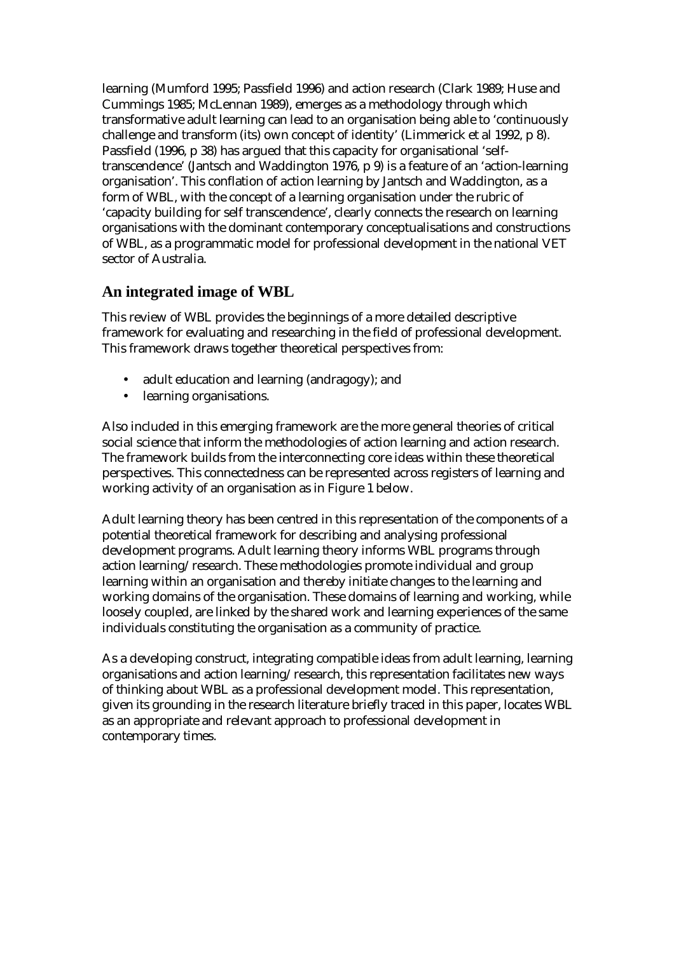learning (Mumford 1995; Passfield 1996) and action research (Clark 1989; Huse and Cummings 1985; McLennan 1989), emerges as a methodology through which transformative adult learning can lead to an organisation being able to 'continuously challenge and transform (its) own concept of identity' (Limmerick et al 1992, p 8). Passfield (1996, p 38) has argued that this capacity for organisational 'selftranscendence' (Jantsch and Waddington 1976, p 9) is a feature of an 'action-learning organisation'. This conflation of action learning by Jantsch and Waddington, as a form of WBL, with the concept of a learning organisation under the rubric of 'capacity building for self transcendence', clearly connects the research on learning organisations with the dominant contemporary conceptualisations and constructions of WBL, as a programmatic model for professional development in the national VET sector of Australia.

### **An integrated image of WBL**

This review of WBL provides the beginnings of a more detailed descriptive framework for evaluating and researching in the field of professional development. This framework draws together theoretical perspectives from:

- adult education and learning (andragogy); and
- learning organisations.

Also included in this emerging framework are the more general theories of critical social science that inform the methodologies of action learning and action research. The framework builds from the interconnecting core ideas within these theoretical perspectives. This connectedness can be represented across registers of learning and working activity of an organisation as in Figure 1 below.

Adult learning theory has been centred in this representation of the components of a potential theoretical framework for describing and analysing professional development programs. Adult learning theory informs WBL programs through action learning/research. These methodologies promote individual and group learning within an organisation and thereby initiate changes to the learning and working domains of the organisation. These domains of learning and working, while loosely coupled, are linked by the shared work and learning experiences of the same individuals constituting the organisation as a community of practice.

As a developing construct, integrating compatible ideas from adult learning, learning organisations and action learning/research, this representation facilitates new ways of thinking about WBL as a professional development model. This representation, given its grounding in the research literature briefly traced in this paper, locates WBL as an appropriate and relevant approach to professional development in contemporary times.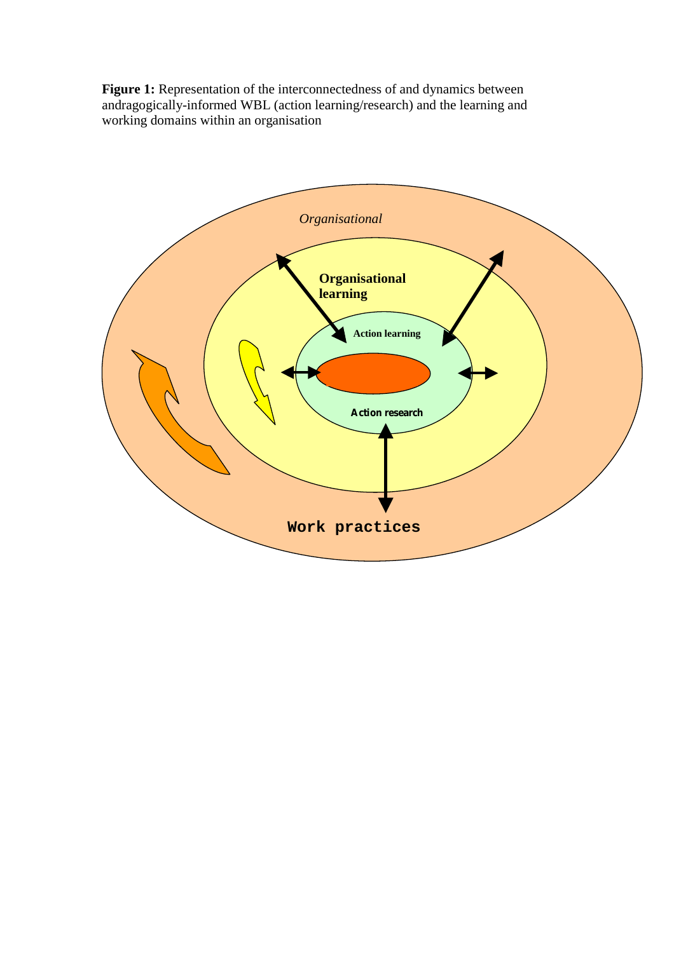Figure 1: Representation of the interconnectedness of and dynamics between andragogically-informed WBL (action learning/research) and the learning and working domains within an organisation

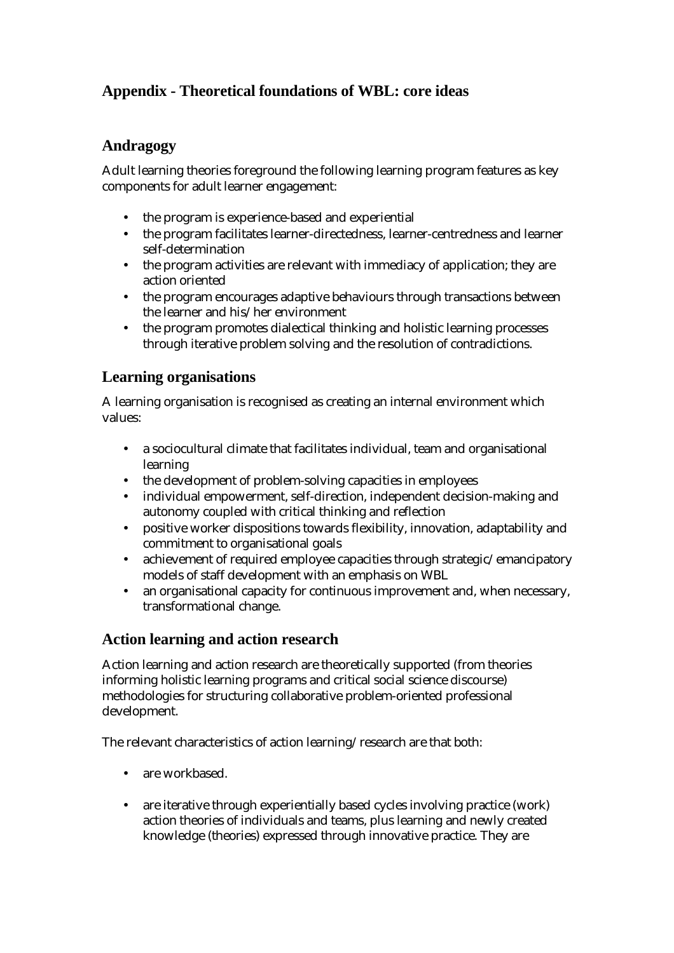# **Appendix - Theoretical foundations of WBL: core ideas**

### **Andragogy**

Adult learning theories foreground the following learning program features as key components for adult learner engagement:

- the program is experience-based and experiential
- the program facilitates learner-directedness, learner-centredness and learner self-determination
- the program activities are relevant with immediacy of application; they are action oriented
- the program encourages adaptive behaviours through transactions between the learner and his/her environment
- the program promotes dialectical thinking and holistic learning processes through iterative problem solving and the resolution of contradictions.

### **Learning organisations**

A learning organisation is recognised as creating an internal environment which values:

- a sociocultural climate that facilitates individual, team and organisational learning
- the development of problem-solving capacities in employees
- individual empowerment, self-direction, independent decision-making and autonomy coupled with critical thinking and reflection
- positive worker dispositions towards flexibility, innovation, adaptability and commitment to organisational goals
- achievement of required employee capacities through strategic/emancipatory models of staff development with an emphasis on WBL
- an organisational capacity for continuous improvement and, when necessary, transformational change.

### **Action learning and action research**

Action learning and action research are theoretically supported (from theories informing holistic learning programs and critical social science discourse) methodologies for structuring collaborative problem-oriented professional development.

The relevant characteristics of action learning/research are that both:

- are workbased.
- are iterative through experientially based cycles involving practice (work) action theories of individuals and teams, plus learning and newly created knowledge (theories) expressed through innovative practice. They are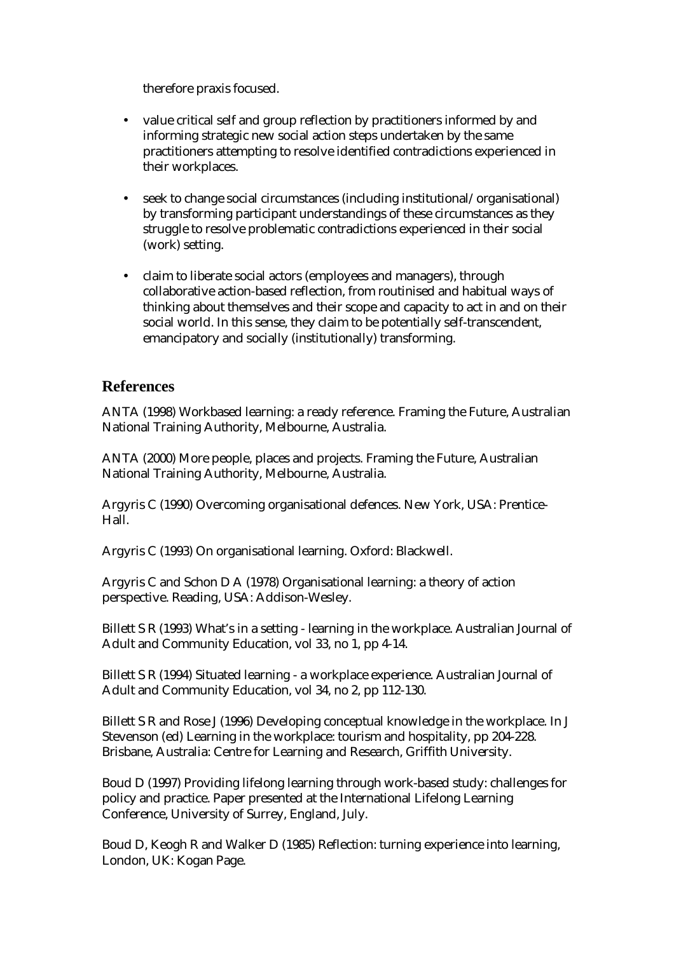therefore praxis focused.

- value critical self and group reflection by practitioners informed by and informing strategic new social action steps undertaken by the same practitioners attempting to resolve identified contradictions experienced in their workplaces.
- seek to change social circumstances (including institutional/organisational) by transforming participant understandings of these circumstances as they struggle to resolve problematic contradictions experienced in their social (work) setting.
- claim to liberate social actors (employees and managers), through collaborative action-based reflection, from routinised and habitual ways of thinking about themselves and their scope and capacity to act in and on their social world. In this sense, they claim to be potentially self-transcendent, emancipatory and socially (institutionally) transforming.

#### **References**

ANTA (1998) Workbased learning: a ready reference. Framing the Future, Australian National Training Authority, Melbourne, Australia.

ANTA (2000) More people, places and projects. Framing the Future, Australian National Training Authority, Melbourne, Australia.

Argyris C (1990) Overcoming organisational defences. New York, USA: Prentice-Hall.

Argyris C (1993) On organisational learning. Oxford: Blackwell.

Argyris C and Schon D A (1978) Organisational learning: a theory of action perspective. Reading, USA: Addison-Wesley.

Billett S R (1993) What's in a setting - learning in the workplace. Australian Journal of Adult and Community Education, vol 33, no 1, pp 4-14.

Billett S R (1994) Situated learning - a workplace experience. Australian Journal of Adult and Community Education, vol 34, no 2, pp 112-130.

Billett S R and Rose J (1996) Developing conceptual knowledge in the workplace. In J Stevenson (ed) Learning in the workplace: tourism and hospitality, pp 204-228. Brisbane, Australia: Centre for Learning and Research, Griffith University.

Boud D (1997) Providing lifelong learning through work-based study: challenges for policy and practice. Paper presented at the International Lifelong Learning Conference, University of Surrey, England, July.

Boud D, Keogh R and Walker D (1985) Reflection: turning experience into learning, London, UK: Kogan Page.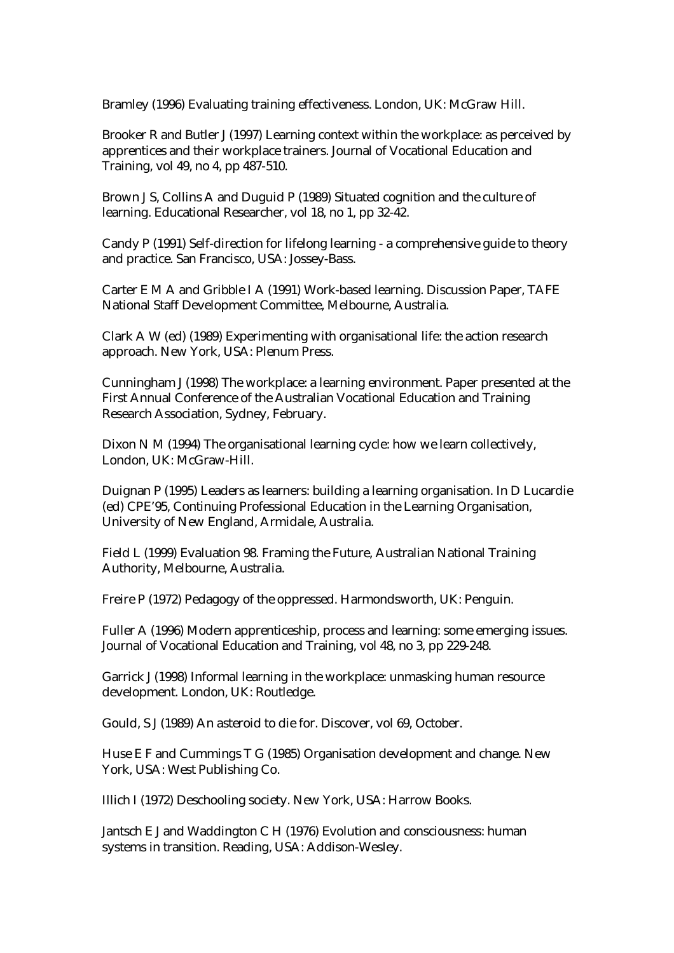Bramley (1996) Evaluating training effectiveness. London, UK: McGraw Hill.

Brooker R and Butler J (1997) Learning context within the workplace: as perceived by apprentices and their workplace trainers. Journal of Vocational Education and Training, vol 49, no 4, pp 487-510.

Brown J S, Collins A and Duguid P (1989) Situated cognition and the culture of learning. Educational Researcher, vol 18, no 1, pp 32-42.

Candy P (1991) Self-direction for lifelong learning - a comprehensive guide to theory and practice. San Francisco, USA: Jossey-Bass.

Carter E M A and Gribble I A (1991) Work-based learning. Discussion Paper, TAFE National Staff Development Committee, Melbourne, Australia.

Clark A W (ed) (1989) Experimenting with organisational life: the action research approach. New York, USA: Plenum Press.

Cunningham J (1998) The workplace: a learning environment. Paper presented at the First Annual Conference of the Australian Vocational Education and Training Research Association, Sydney, February.

Dixon N M (1994) The organisational learning cycle: how we learn collectively, London, UK: McGraw-Hill.

Duignan P (1995) Leaders as learners: building a learning organisation. In D Lucardie (ed) CPE'95, Continuing Professional Education in the Learning Organisation, University of New England, Armidale, Australia.

Field L (1999) Evaluation 98. Framing the Future, Australian National Training Authority, Melbourne, Australia.

Freire P (1972) Pedagogy of the oppressed. Harmondsworth, UK: Penguin.

Fuller A (1996) Modern apprenticeship, process and learning: some emerging issues. Journal of Vocational Education and Training, vol 48, no 3, pp 229-248.

Garrick J (1998) Informal learning in the workplace: unmasking human resource development. London, UK: Routledge.

Gould, S J (1989) An asteroid to die for. Discover, vol 69, October.

Huse E F and Cummings T G (1985) Organisation development and change. New York, USA: West Publishing Co.

Illich I (1972) Deschooling society. New York, USA: Harrow Books.

Jantsch E J and Waddington C H (1976) Evolution and consciousness: human systems in transition. Reading, USA: Addison-Wesley.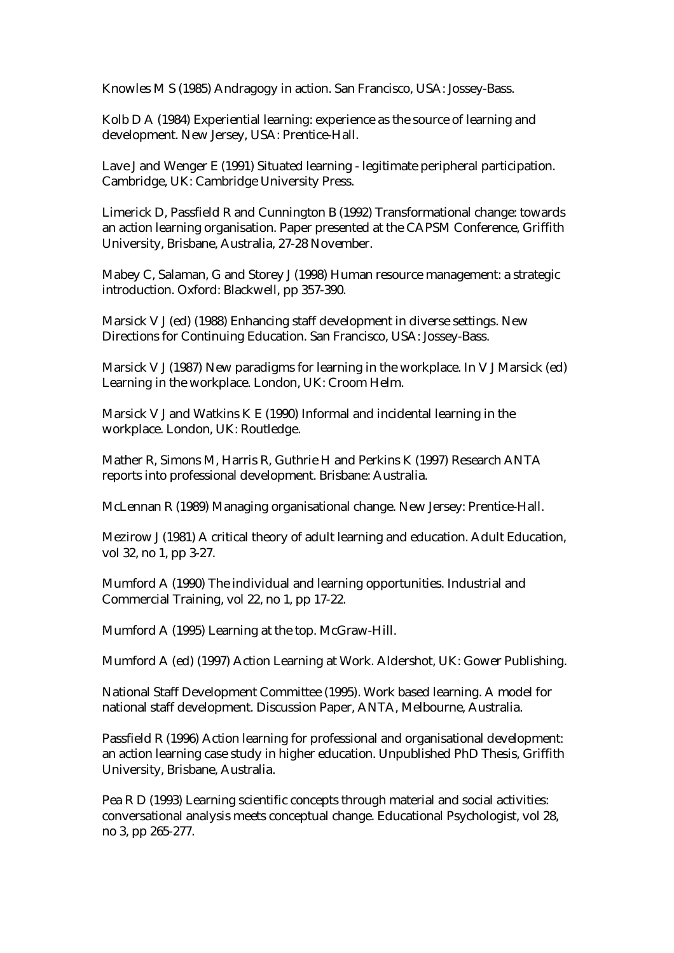Knowles M S (1985) Andragogy in action. San Francisco, USA: Jossey-Bass.

Kolb D A (1984) Experiential learning: experience as the source of learning and development. New Jersey, USA: Prentice-Hall.

Lave J and Wenger E (1991) Situated learning - legitimate peripheral participation. Cambridge, UK: Cambridge University Press.

Limerick D, Passfield R and Cunnington B (1992) Transformational change: towards an action learning organisation. Paper presented at the CAPSM Conference, Griffith University, Brisbane, Australia, 27-28 November.

Mabey C, Salaman, G and Storey J (1998) Human resource management: a strategic introduction. Oxford: Blackwell, pp 357-390.

Marsick V J (ed) (1988) Enhancing staff development in diverse settings. New Directions for Continuing Education. San Francisco, USA: Jossey-Bass.

Marsick V J (1987) New paradigms for learning in the workplace. In V J Marsick (ed) Learning in the workplace. London, UK: Croom Helm.

Marsick V J and Watkins K E (1990) Informal and incidental learning in the workplace. London, UK: Routledge.

Mather R, Simons M, Harris R, Guthrie H and Perkins K (1997) Research ANTA reports into professional development. Brisbane: Australia.

McLennan R (1989) Managing organisational change. New Jersey: Prentice-Hall.

Mezirow J (1981) A critical theory of adult learning and education. Adult Education, vol 32, no 1, pp 3-27.

Mumford A (1990) The individual and learning opportunities. Industrial and Commercial Training, vol 22, no 1, pp 17-22.

Mumford A (1995) Learning at the top. McGraw-Hill.

Mumford A (ed) (1997) Action Learning at Work. Aldershot, UK: Gower Publishing.

National Staff Development Committee (1995). Work based learning. A model for national staff development. Discussion Paper, ANTA, Melbourne, Australia.

Passfield R (1996) Action learning for professional and organisational development: an action learning case study in higher education. Unpublished PhD Thesis, Griffith University, Brisbane, Australia.

Pea R D (1993) Learning scientific concepts through material and social activities: conversational analysis meets conceptual change. Educational Psychologist, vol 28, no 3, pp 265-277.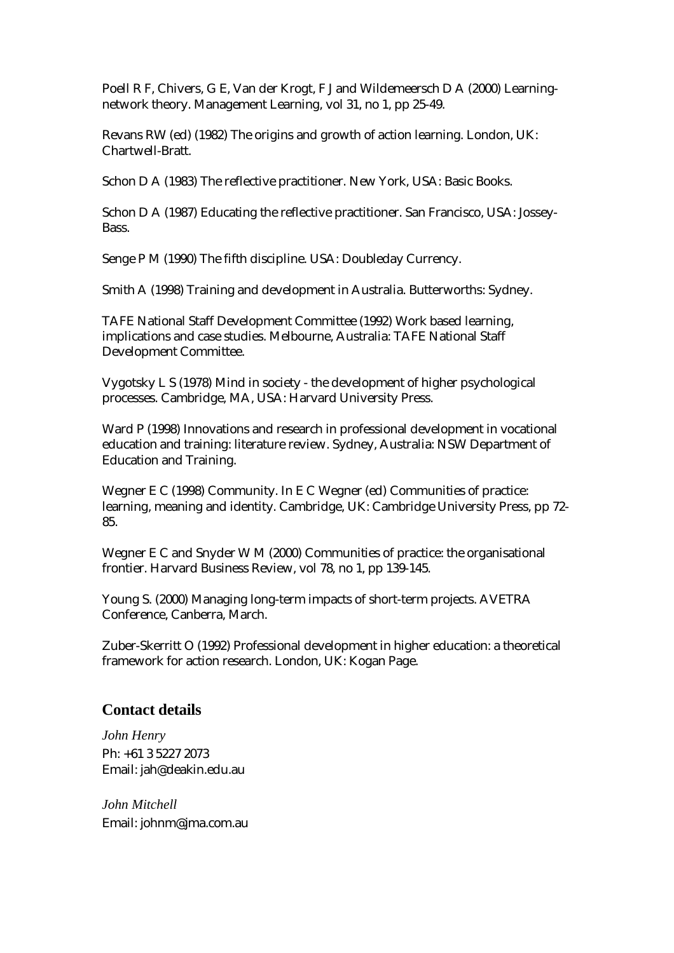Poell R F, Chivers, G E, Van der Krogt, F J and Wildemeersch D A (2000) Learningnetwork theory. Management Learning, vol 31, no 1, pp 25-49.

Revans RW (ed) (1982) The origins and growth of action learning. London, UK: Chartwell-Bratt.

Schon D A (1983) The reflective practitioner. New York, USA: Basic Books.

Schon D A (1987) Educating the reflective practitioner. San Francisco, USA: Jossey-Bass.

Senge P M (1990) The fifth discipline. USA: Doubleday Currency.

Smith A (1998) Training and development in Australia. Butterworths: Sydney.

TAFE National Staff Development Committee (1992) Work based learning, implications and case studies. Melbourne, Australia: TAFE National Staff Development Committee.

Vygotsky L S (1978) Mind in society - the development of higher psychological processes. Cambridge, MA, USA: Harvard University Press.

Ward P (1998) Innovations and research in professional development in vocational education and training: literature review. Sydney, Australia: NSW Department of Education and Training.

Wegner E C (1998) Community. In E C Wegner (ed) Communities of practice: learning, meaning and identity. Cambridge, UK: Cambridge University Press, pp 72- 85.

Wegner E C and Snyder W M (2000) Communities of practice: the organisational frontier. Harvard Business Review, vol 78, no 1, pp 139-145.

Young S. (2000) Managing long-term impacts of short-term projects. AVETRA Conference, Canberra, March.

Zuber-Skerritt O (1992) Professional development in higher education: a theoretical framework for action research. London, UK: Kogan Page.

#### **Contact details**

*John Henry*  Ph: +61 3 5227 2073 Email: jah@deakin.edu.au

*John Mitchell*  Email: johnm@jma.com.au